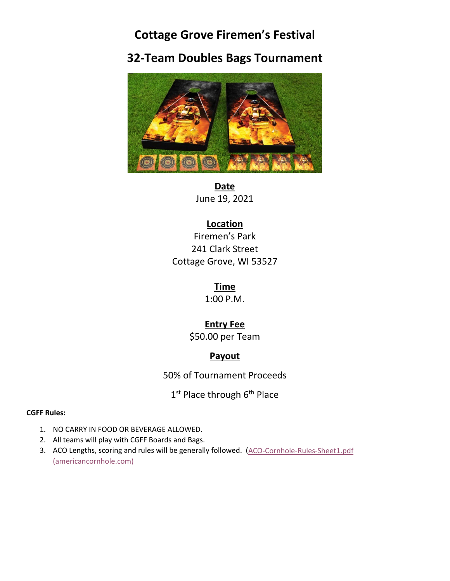# **Cottage Grove Firemen's Festival**

# **32-Team Doubles Bags Tournament**



**Date** June 19, 2021

### **Location**

Firemen's Park 241 Clark Street Cottage Grove, WI 53527

> **Time** 1:00 P.M.

### **Entry Fee**

\$50.00 per Team

## **Payout**

50% of Tournament Proceeds

1<sup>st</sup> Place through 6<sup>th</sup> Place

#### **CGFF Rules:**

- 1. NO CARRY IN FOOD OR BEVERAGE ALLOWED.
- 2. All teams will play with CGFF Boards and Bags.
- 3. ACO Lengths, scoring and rules will be generally followed. (ACO-Cornhole-Rules-Sheet1.pdf [\(americancornhole.com\)](https://americancornhole.com/downloads/ACO-Season16/ACO-Cornhole-Rules-Sheet1.pdf)